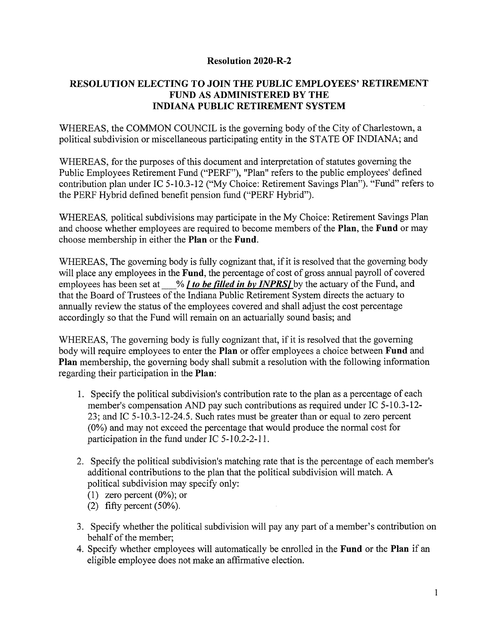### **Resolution 2020-R-2**

## **RESOLUTION ELECTING TO JOIN THE PUBLIC EMPLOYEES' RETIREMENT FUND AS ADMINISTERED BY THE INDIANA PUBLIC RETIREMENT SYSTEM**

WHEREAS, the COMMON COUNCIL is the governing body of the City of Charlestown, a political subdivision or miscellaneous participating entity in the STATE OF INDIANA; and

WHEREAS, for the purposes of this document and interpretation of statutes governing the Public Employees Retirement Fund ("PERF"), "Plan" refers to the public employees' defined contribution plan under IC 5-10.3-12 ("My Choice: Retirement Savings Plan"). "Fund" refers to the PERF Hybrid defined benefit pension fund ("PERF Hybrid").

WHEREAS, political subdivisions may participate in the My Choice: Retirement Savings Plan and choose whether employees are required to become members of the **Plan**, the **Fund** or may choose membership in either the **Plan** or the **Fund.**

WHEREAS, The governing body is fully cognizant that, if it is resolved that the governing body will place any employees in the **Fund**, the percentage of cost of gross annual payroll of covered employees has been set at % *f to be filled in by INPRSI* by the actuary of the Fund, and that the Board of Trustees of the Indiana Public Retirement System directs the actuary to annually review the status of the employees covered and shall adjust the cost percentage accordingly so that the Fund will remain on an actuarially sound basis; and

WHEREAS, The governing body is fully cognizant that, if it is resolved that the governing body will require employees to enter the **Plan** or offer employees a choice between **Fund** and **Plan** membership, the governing body shall submit a resolution with the following information regarding their participation in the **Plan:**

- 1. Specify the political subdivision's contribution rate to the plan as a percentage of each member's compensation AND pay such contributions as required under IC 5-10.3-12 23; and IC 5-10.3-12-24.5. Such rates must be greater than or equal to zero percent (0%) and may not exceed the percentage that would produce the normal cost for participation in the fund under IC 5-10.2-2-11.
- 2. Specify the political subdivision's matching rate that is the percentage of each member's additional contributions to the plan that the political subdivision will match. A political subdivision may specify only:
	- (1) zero percent  $(0\%)$ ; or
	- (2) fifty percent  $(50\%)$ .
- 3. Specify whether the political subdivision will pay any part of a member's contribution on behalf of the member;
- 4. Specify whether employees will automatically be enrolled in the **Fund** or the **Plan** if an eligible employee does not make an affirmative election.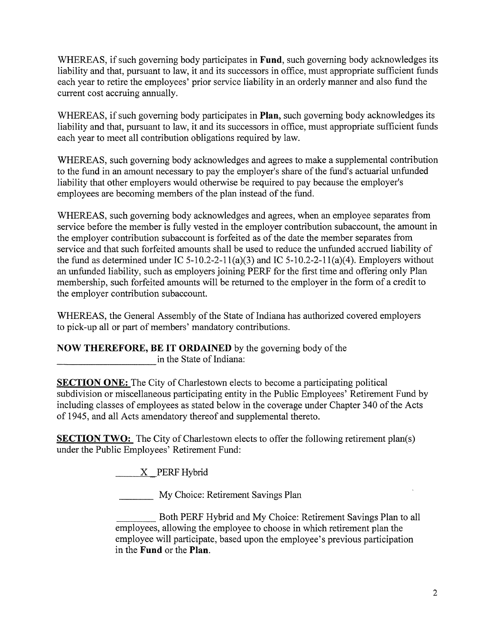WHEREAS, if such governing body participates in **Fund**, such governing body acknowledges its liability and that, pursuant to law, it and its successors in office, must appropriate sufficient funds each year to retire the employees' prior service liability in an orderly manner and also fund the current cost accruing annually.

WHEREAS, if such governing body participates in **Plan**, such governing body acknowledges its liability and that, pursuant to law, it and its successors in office, must appropriate sufficient funds each year to meet all contribution obligations required by law.

WHEREAS, such governing body acknowledges and agrees to make a supplemental contribution to the fund in an amount necessary to pay the employer's share of the fund's actuarial unfunded liability that other employers would otherwise be required to pay because the employer's employees are becoming members of the plan instead of the fund.

WHEREAS, such governing body acknowledges and agrees, when an employee separates from service before the member is fully vested in the employer contribution subaccount, the amount in the employer contribution subaccount is forfeited as of the date the member separates from service and that such forfeited amounts shall be used to reduce the unfunded accrued liability of the fund as determined under IC 5-10.2-2-11(a)(3) and IC 5-10.2-2-11(a)(4). Employers without an unfunded liability, such as employers joining PERF for the first time and offering only Plan membership, such forfeited amounts will be returned to the employer in the form of a credit to the employer contribution subaccount.

WHEREAS, the General Assembly of the State of Indiana has authorized covered employers to pick-up all or part of members' mandatory contributions.

**NOW THEREFORE, BE IT ORDAINED** by the governing body ofthe **EXECUTE:** in the State of Indiana:

**SECTION ONE:** The City of Charlestown elects to become a participating political subdivision or miscellaneous participating entity in the Public Employees' Retirement Fund by including classes of employees as stated below in the coverage under Chapter 340 of the Acts of 1945, and all Acts amendatory thereof and supplemental thereto.

**SECTION TWO:** The City of Charlestown elects to offer the following retirement plan(s) under the Public Employees' Retirement Fund:

 $X$  PERF Hybrid

My Choice: Retirement Savings Plan

\_\_\_\_\_\_\_\_Both PERF Hybrid and My Choice: Retirement Savings Plan to all employees, allowing the employee to choose in which retirement plan the employee will participate, based upon the employee's previous participation in the **Fund** or the **Plan.**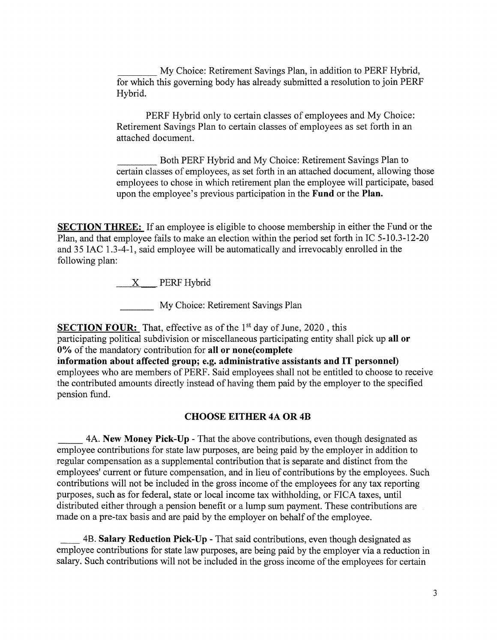My Choice: Retirement Savings Plan, in addition to PERF Hybrid, for which this governing body has already submitted a resolution to join PERF Hybrid.

PERF Hybrid only to certain classes of employees and My Choice: Retirement Savings Plan to certain classes of employees as set forth in an attached document.

\_\_\_\_\_ Both PERF Hybrid and My Choice: Retirement Savings Plan to certain classes of employees, as set forth in an attached document, allowing those employees to chose in which retirement plan the employee will participate, based upon the employee's previous participation in the **Fund** or the **Plan.**

**SECTION THREE:** If an employee is eligible to choose membership in either the Fund or the Plan, and that employee fails to make an election within the period set forth in IC 5-10.3-12-20 and 35 IAC 1.3-4-1, said employee will be automatically and irrevocably enrolled in the following plan:

 $X$  PERF Hybrid

\_\_\_\_\_\_ My Choice: Retirement Savings Plan

**SECTION FOUR:** That, effective as of the 1<sup>st</sup> day of June, 2020, this participating political subdivision or miscellaneous participating entity shall pick up **all or 0%** ofthe mandatory contribution for **all or none(complete**

**information about affected group; e.g. administrative assistants and IT personnel)** employees who are members of PERF. Said employees shall not be entitled to choose to receive the contributed amounts directly instead of having them paid by the employer to the specified pension fund.

#### **CHOOSE EITHER 4A OR 4B**

4A. **New Money Pick-Up** - That the above contributions, even though designated as employee contributions for state law purposes, are being paid by the employer in addition to regular compensation as a supplemental contribution that is separate and distinct from the employees' current or future compensation, and in lieu of contributions by the employees. Such contributions will not be included in the gross income of the employees for any tax reporting purposes, such as for federal, state or local income tax withholding, or FICA taxes, until distributed either through a pension benefit or a lump sum payment. These contributions are made on a pre-tax basis and are paid by the employer on behalf of the employee.

\_\_\_ 4B. **Salary Reduction Pick-Up** - That said contributions, even though designated as employee contributions for state law purposes, are being paid by the employer via a reduction in salary. Such contributions will not be included in the gross income of the employees for certain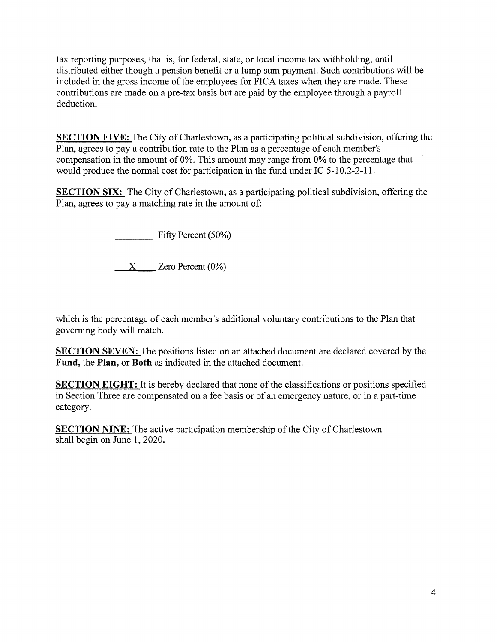tax reporting purposes, that is, for federal, state, or local income tax withholding, until distributed either though a pension benefit or a lump sum payment. Such contributions will be included in the gross income of the employees for FICA taxes when they are made. These contributions are made on a pre-tax basis but are paid by the employee through a payroll deduction.

**SECTION FIVE:** The City of Charlestown, as a participating political subdivision, offering the Plan, agrees to pay a contribution rate to the Plan as a percentage of each member's compensation in the amount of 0%. This amount may range from 0% to the percentage that would produce the normal cost for participation in the fund under IC 5-10.2-2-11.

**SECTION SIX:** The City of Charlestown, as a participating political subdivision, offering the Plan, agrees to pay a matching rate in the amount of:

Fifty Percent (50%)

 $X \longrightarrow Z$ ero Percent (0%)

which is the percentage of each member's additional voluntary contributions to the Plan that governing body will match.

**SECTION SEVEN;** The positions listed on an attached document are declared covered **by** the **Fund,** the **Plan,** or **Both** as indicated in the attached document.

**SECTION EIGHT:** It is hereby declared that none of the classifications or positions specified in Section Three are compensated on a fee basis or of an emergency nature, or in a part-time category.

**SECTION NINE:** The active participation membership of the City of Charlestown shall begin on June 1, 2020.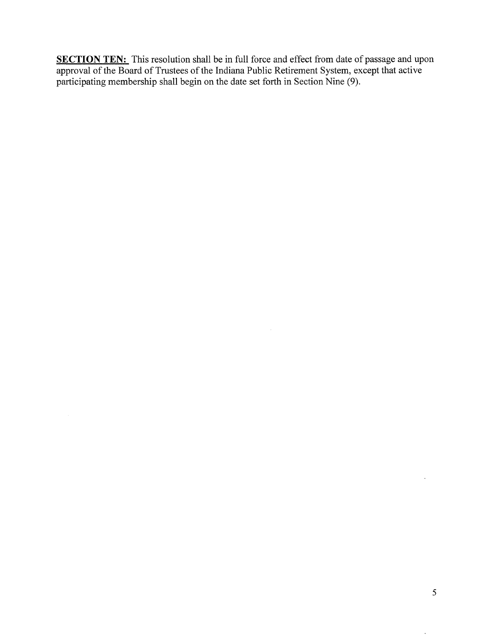**SECTION TEN:** This resolution shall be in full force and effect from date of passage and upon approval of the Board of Trustees of the Indiana Public Retirement System, except that active participating membership shall begin on the date set forth in Section Nine (9).

 $\hat{\boldsymbol{\beta}}$ 

 $\ddot{\phantom{a}}$ 

 $\ddot{\phantom{1}}$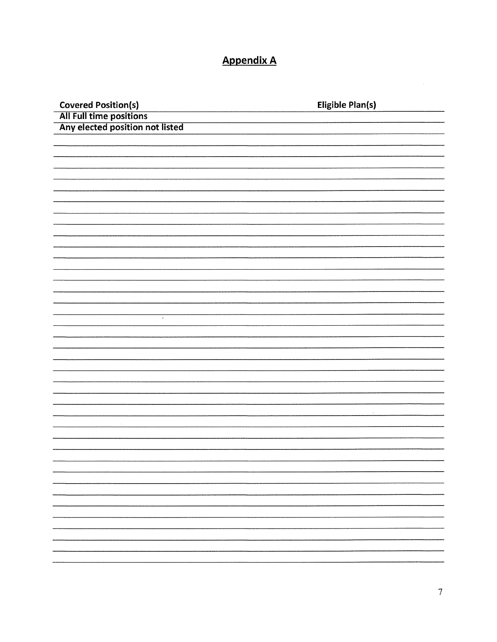# **Appendix A**

| Covered Position(s)<br>All Full time positions<br>Any elected position not listed | <b>Eligible Plan(s)</b> |
|-----------------------------------------------------------------------------------|-------------------------|
|                                                                                   |                         |
|                                                                                   |                         |
|                                                                                   |                         |
|                                                                                   |                         |
|                                                                                   |                         |
|                                                                                   |                         |
|                                                                                   |                         |
|                                                                                   |                         |
|                                                                                   |                         |
|                                                                                   |                         |
|                                                                                   |                         |
|                                                                                   |                         |
|                                                                                   |                         |
| $\sim$                                                                            |                         |
|                                                                                   |                         |
|                                                                                   |                         |
|                                                                                   |                         |
|                                                                                   |                         |
|                                                                                   |                         |
| Ţ,                                                                                |                         |
|                                                                                   |                         |
|                                                                                   |                         |
|                                                                                   |                         |
|                                                                                   |                         |
|                                                                                   |                         |
|                                                                                   |                         |
|                                                                                   |                         |
|                                                                                   |                         |
|                                                                                   |                         |
|                                                                                   |                         |
|                                                                                   |                         |
|                                                                                   |                         |
|                                                                                   |                         |
|                                                                                   |                         |
|                                                                                   |                         |
|                                                                                   |                         |
|                                                                                   |                         |
|                                                                                   |                         |
|                                                                                   |                         |
|                                                                                   |                         |
|                                                                                   |                         |
|                                                                                   |                         |
|                                                                                   |                         |

 $\label{eq:2.1} \frac{1}{\sqrt{2}}\int_{0}^{\infty}\frac{1}{\sqrt{2\pi}}\left(\frac{1}{\sqrt{2\pi}}\right)^{2}d\mu_{\rm{max}}\left(\frac{1}{\sqrt{2\pi}}\right).$